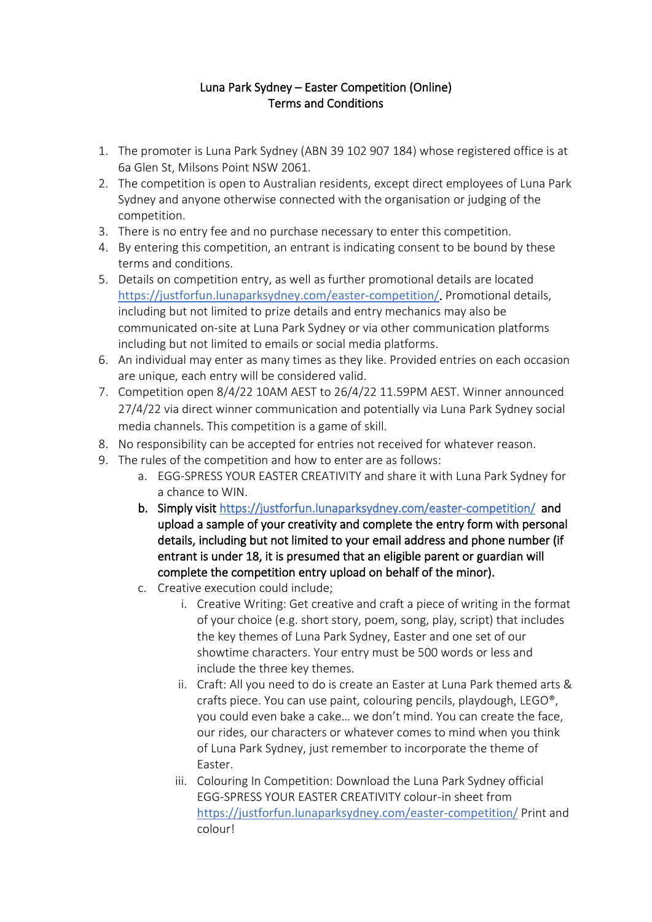## Luna Park Sydney – Easter Competition (Online) Terms and Conditions

- 1. The promoter is Luna Park Sydney (ABN 39 102 907 184) whose registered office is at 6a Glen St, Milsons Point NSW 2061.
- 2. The competition is open to Australian residents, except direct employees of Luna Park Sydney and anyone otherwise connected with the organisation or judging of the competition.
- 3. There is no entry fee and no purchase necessary to enter this competition.
- 4. By entering this competition, an entrant is indicating consent to be bound by these terms and conditions.
- 5. Details on competition entry, as well as further promotional details are located <https://justforfun.lunaparksydney.com/easter-competition/>. Promotional details, including but not limited to prize details and entry mechanics may also be communicated on-site at Luna Park Sydney or via other communication platforms including but not limited to emails or social media platforms.
- 6. An individual may enter as many times as they like. Provided entries on each occasion are unique, each entry will be considered valid.
- 7. Competition open 8/4/22 10AM AEST to 26/4/22 11.59PM AEST. Winner announced 27/4/22 via direct winner communication and potentially via Luna Park Sydney social media channels. This competition is a game of skill.
- 8. No responsibility can be accepted for entries not received for whatever reason.
- 9. The rules of the competition and how to enter are as follows:
	- a. EGG-SPRESS YOUR EASTER CREATIVITY and share it with Luna Park Sydney for a chance to WIN.
	- b. Simply visit<https://justforfun.lunaparksydney.com/easter-competition/>and upload a sample of your creativity and complete the entry form with personal details, including but not limited to your email address and phone number (if entrant is under 18, it is presumed that an eligible parent or guardian will complete the competition entry upload on behalf of the minor).
	- c. Creative execution could include;
		- i. Creative Writing: Get creative and craft a piece of writing in the format of your choice (e.g. short story, poem, song, play, script) that includes the key themes of Luna Park Sydney, Easter and one set of our showtime characters. Your entry must be 500 words or less and include the three key themes.
		- ii. Craft: All you need to do is create an Easter at Luna Park themed arts & crafts piece. You can use paint, colouring pencils, playdough, LEGO®, you could even bake a cake… we don't mind. You can create the face, our rides, our characters or whatever comes to mind when you think of Luna Park Sydney, just remember to incorporate the theme of Easter.
		- iii. Colouring In Competition: Download the Luna Park Sydney official EGG-SPRESS YOUR EASTER CREATIVITY colour-in sheet from <https://justforfun.lunaparksydney.com/easter-competition/> Print and colour!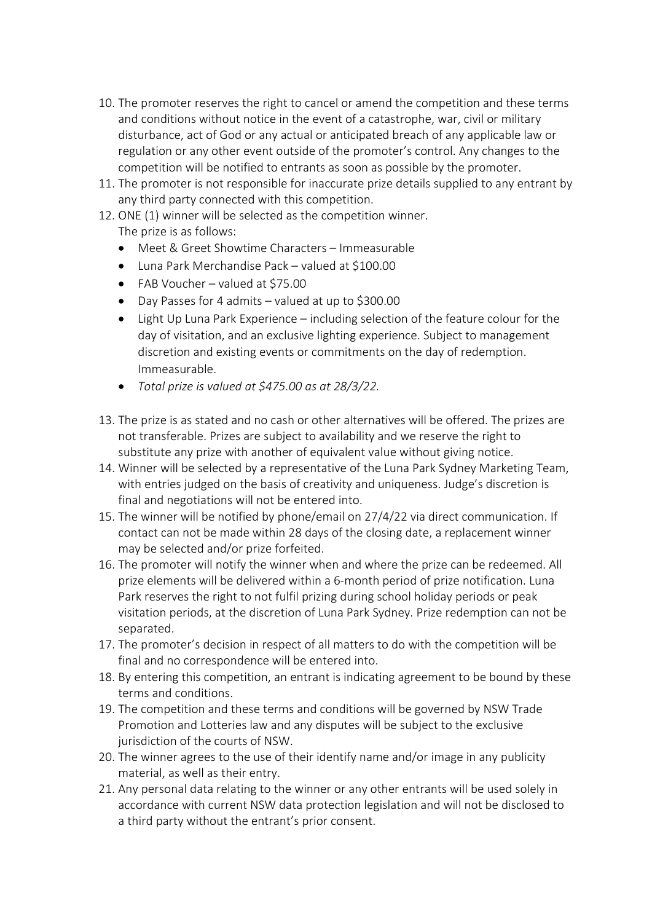- 10. The promoter reserves the right to cancel or amend the competition and these terms and conditions without notice in the event of a catastrophe, war, civil or military disturbance, act of God or any actual or anticipated breach of any applicable law or regulation or any other event outside of the promoter's control. Any changes to the competition will be notified to entrants as soon as possible by the promoter.
- 11. The promoter is not responsible for inaccurate prize details supplied to any entrant by any third party connected with this competition.
- 12. ONE (1) winner will be selected as the competition winner. The prize is as follows:
	- Meet & Greet Showtime Characters Immeasurable
	- Luna Park Merchandise Pack valued at \$100.00
	- FAB Voucher valued at \$75.00
	- Day Passes for 4 admits valued at up to \$300.00
	- Light Up Luna Park Experience including selection of the feature colour for the day of visitation, and an exclusive lighting experience. Subject to management discretion and existing events or commitments on the day of redemption. Immeasurable.
	- *Total prize is valued at \$475.00 as at 28/3/22.*
- 13. The prize is as stated and no cash or other alternatives will be offered. The prizes are not transferable. Prizes are subject to availability and we reserve the right to substitute any prize with another of equivalent value without giving notice.
- 14. Winner will be selected by a representative of the Luna Park Sydney Marketing Team, with entries judged on the basis of creativity and uniqueness. Judge's discretion is final and negotiations will not be entered into.
- 15. The winner will be notified by phone/email on 27/4/22 via direct communication. If contact can not be made within 28 days of the closing date, a replacement winner may be selected and/or prize forfeited.
- 16. The promoter will notify the winner when and where the prize can be redeemed. All prize elements will be delivered within a 6-month period of prize notification. Luna Park reserves the right to not fulfil prizing during school holiday periods or peak visitation periods, at the discretion of Luna Park Sydney. Prize redemption can not be separated.
- 17. The promoter's decision in respect of all matters to do with the competition will be final and no correspondence will be entered into.
- 18. By entering this competition, an entrant is indicating agreement to be bound by these terms and conditions.
- 19. The competition and these terms and conditions will be governed by NSW Trade Promotion and Lotteries law and any disputes will be subject to the exclusive jurisdiction of the courts of NSW.
- 20. The winner agrees to the use of their identify name and/or image in any publicity material, as well as their entry.
- 21. Any personal data relating to the winner or any other entrants will be used solely in accordance with current NSW data protection legislation and will not be disclosed to a third party without the entrant's prior consent.